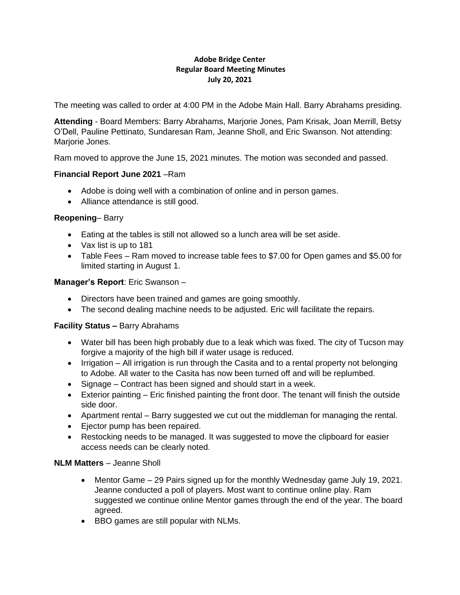### **Adobe Bridge Center Regular Board Meeting Minutes July 20, 2021**

The meeting was called to order at 4:00 PM in the Adobe Main Hall. Barry Abrahams presiding.

**Attending** - Board Members: Barry Abrahams, Marjorie Jones, Pam Krisak, Joan Merrill, Betsy O'Dell, Pauline Pettinato, Sundaresan Ram, Jeanne Sholl, and Eric Swanson. Not attending: Marjorie Jones.

Ram moved to approve the June 15, 2021 minutes. The motion was seconded and passed.

# **Financial Report June 2021** –Ram

- Adobe is doing well with a combination of online and in person games.
- Alliance attendance is still good.

### **Reopening**– Barry

- Eating at the tables is still not allowed so a lunch area will be set aside.
- Vax list is up to 181
- Table Fees Ram moved to increase table fees to \$7.00 for Open games and \$5.00 for limited starting in August 1.

# **Manager's Report**: Eric Swanson –

- Directors have been trained and games are going smoothly.
- The second dealing machine needs to be adjusted. Eric will facilitate the repairs.

### **Facility Status –** Barry Abrahams

- Water bill has been high probably due to a leak which was fixed. The city of Tucson may forgive a majority of the high bill if water usage is reduced.
- Irrigation All irrigation is run through the Casita and to a rental property not belonging to Adobe. All water to the Casita has now been turned off and will be replumbed.
- Signage Contract has been signed and should start in a week.
- Exterior painting Eric finished painting the front door. The tenant will finish the outside side door.
- Apartment rental Barry suggested we cut out the middleman for managing the rental.
- Ejector pump has been repaired.
- Restocking needs to be managed. It was suggested to move the clipboard for easier access needs can be clearly noted.

### **NLM Matters** – Jeanne Sholl

- Mentor Game 29 Pairs signed up for the monthly Wednesday game July 19, 2021. Jeanne conducted a poll of players. Most want to continue online play. Ram suggested we continue online Mentor games through the end of the year. The board agreed.
- BBO games are still popular with NLMs.